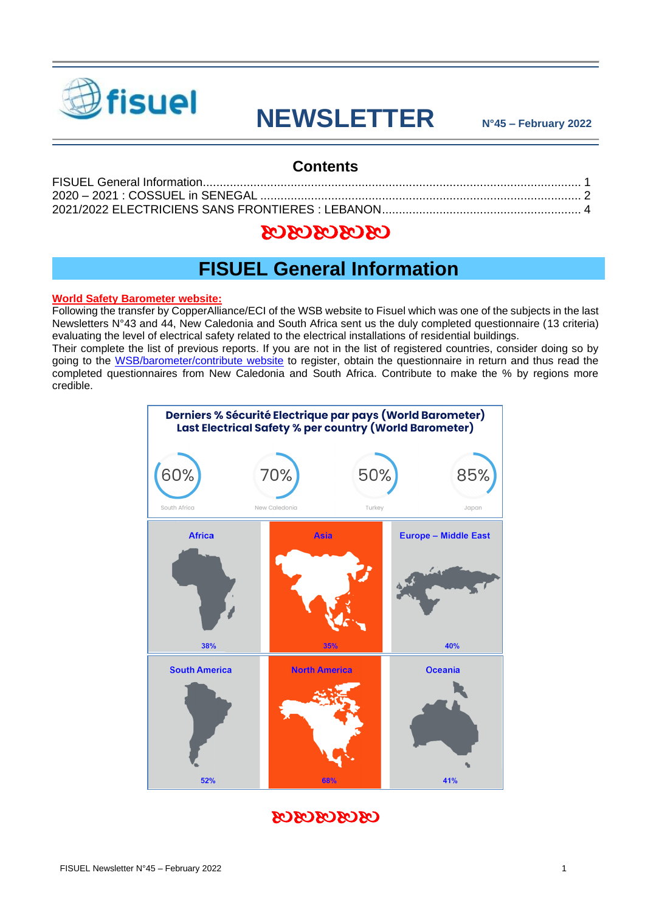

# **NEWSLETTER N°45 – February 2022**

#### **Contents**

### 0303030303

## **FISUEL General Information**

#### <span id="page-0-0"></span>**World Safety Barometer website:**

Following the transfer by CopperAlliance/ECI of the WSB website to Fisuel which was one of the subjects in the last Newsletters N°43 and 44, New Caledonia and South Africa sent us the duly completed questionnaire (13 criteria) evaluating the level of electrical safety related to the electrical installations of residential buildings.

Their complete the list of previous reports. If you are not in the list of registered countries, consider doing so by going to the [WSB/barometer/contribute website](https://www.safetybarometer.org/contribute/) to register, obtain the questionnaire in return and thus read the completed questionnaires from New Caledonia and South Africa. Contribute to make the % by regions more credible.



### 0303030303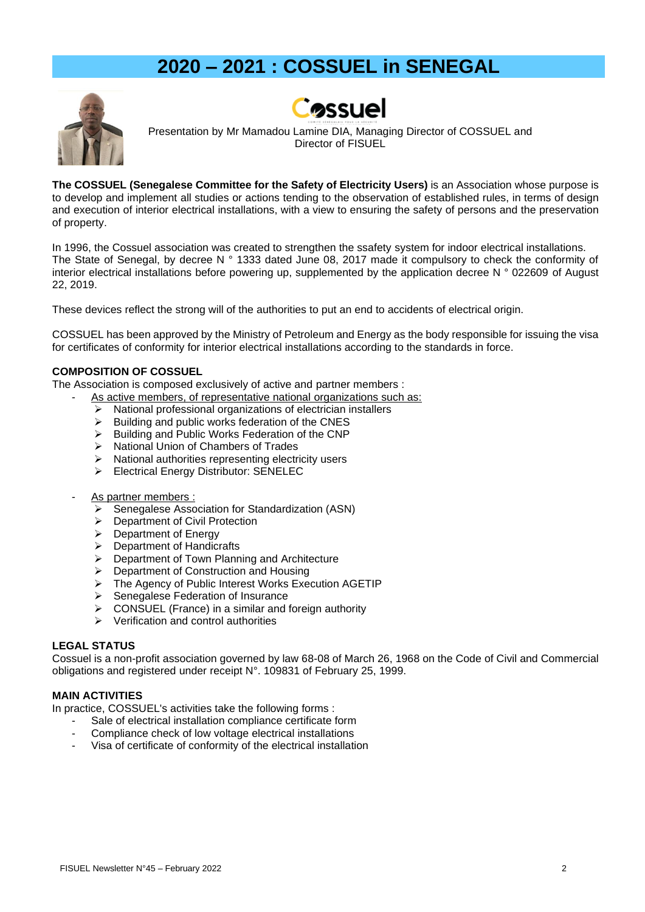# **2020 – 2021 : COSSUEL in SENEGAL**

<span id="page-1-0"></span>



Presentation by Mr Mamadou Lamine DIA, Managing Director of COSSUEL and Director of FISUEL

**The COSSUEL (Senegalese Committee for the Safety of Electricity Users)** is an Association whose purpose is to develop and implement all studies or actions tending to the observation of established rules, in terms of design and execution of interior electrical installations, with a view to ensuring the safety of persons and the preservation of property.

In 1996, the Cossuel association was created to strengthen the ssafety system for indoor electrical installations. The State of Senegal, by decree N ° 1333 dated June 08, 2017 made it compulsory to check the conformity of interior electrical installations before powering up, supplemented by the application decree N ° 022609 of August 22, 2019.

These devices reflect the strong will of the authorities to put an end to accidents of electrical origin.

COSSUEL has been approved by the Ministry of Petroleum and Energy as the body responsible for issuing the visa for certificates of conformity for interior electrical installations according to the standards in force.

#### **COMPOSITION OF COSSUEL**

The Association is composed exclusively of active and partner members :

- As active members, of representative national organizations such as:
	- ➢ National professional organizations of electrician installers
	- ➢ Building and public works federation of the CNES
	- ➢ Building and Public Works Federation of the CNP
	- ➢ National Union of Chambers of Trades
	- ➢ National authorities representing electricity users
	- ➢ Electrical Energy Distributor: SENELEC
- As partner members :
	- Senegalese Association for Standardization (ASN)
	- ➢ Department of Civil Protection
	- ➢ Department of Energy
	- ➢ Department of Handicrafts
	- ➢ Department of Town Planning and Architecture
	- ➢ Department of Construction and Housing
	- ➢ The Agency of Public Interest Works Execution AGETIP
	- ➢ Senegalese Federation of Insurance
	- ➢ CONSUEL (France) in a similar and foreign authority
	- ➢ Verification and control authorities

#### **LEGAL STATUS**

Cossuel is a non-profit association governed by law 68-08 of March 26, 1968 on the Code of Civil and Commercial obligations and registered under receipt N°. 109831 of February 25, 1999.

#### **MAIN ACTIVITIES**

In practice, COSSUEL's activities take the following forms :

- Sale of electrical installation compliance certificate form
- Compliance check of low voltage electrical installations
- Visa of certificate of conformity of the electrical installation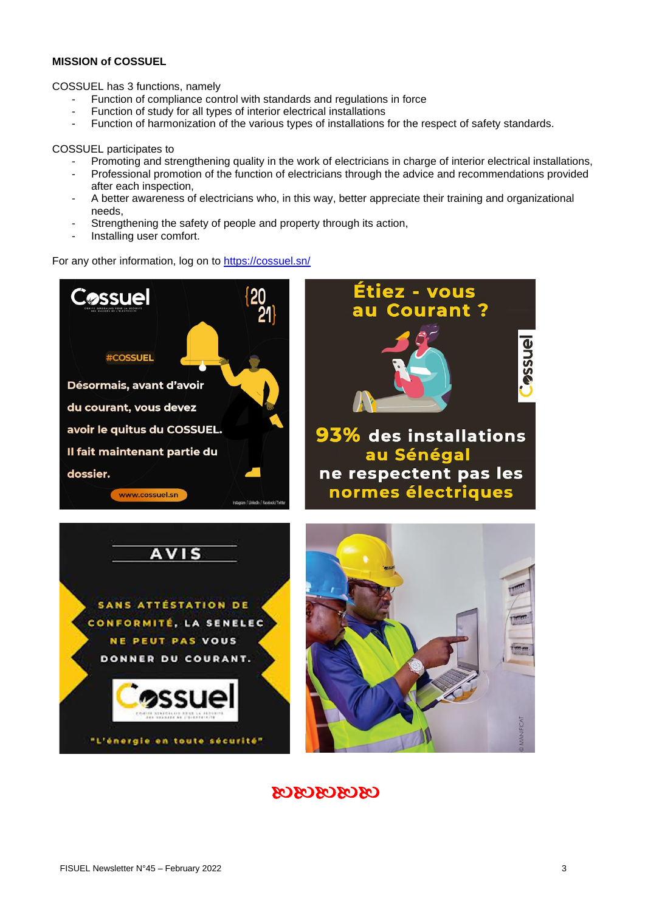#### **MISSION of COSSUEL**

COSSUEL has 3 functions, namely

- Function of compliance control with standards and regulations in force
- Function of study for all types of interior electrical installations
- Function of harmonization of the various types of installations for the respect of safety standards.

COSSUEL participates to

- Promoting and strengthening quality in the work of electricians in charge of interior electrical installations,
- Professional promotion of the function of electricians through the advice and recommendations provided after each inspection,
- A better awareness of electricians who, in this way, better appreciate their training and organizational needs,
- Strengthening the safety of people and property through its action,
- Installing user comfort.

For any other information, log on to <https://cossuel.sn/>



### 0303030303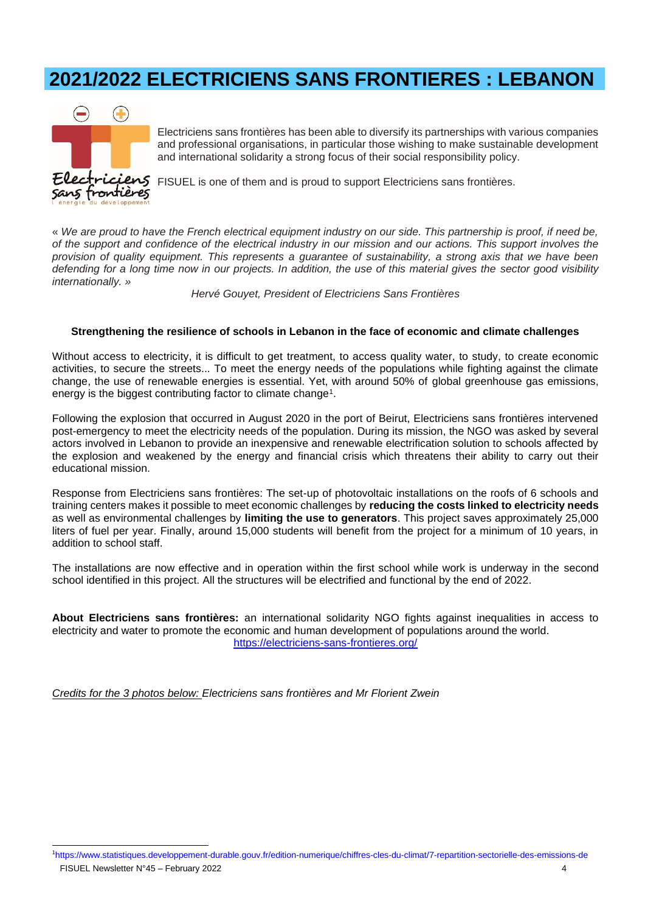# <span id="page-3-0"></span>**2021/2022 ELECTRICIENS SANS FRONTIERES : LEBANON**



Electriciens sans frontières has been able to diversify its partnerships with various companies and professional organisations, in particular those wishing to make sustainable development and international solidarity a strong focus of their social responsibility policy.

FISUEL is one of them and is proud to support Electriciens sans frontières.

« *We are proud to have the French electrical equipment industry on our side. This partnership is proof, if need be, of the support and confidence of the electrical industry in our mission and our actions. This support involves the provision of quality equipment. This represents a guarantee of sustainability, a strong axis that we have been defending for a long time now in our projects. In addition, the use of this material gives the sector good visibility internationally. »*

*Hervé Gouyet, President of Electriciens Sans Frontières*

#### **Strengthening the resilience of schools in Lebanon in the face of economic and climate challenges**

Without access to electricity, it is difficult to get treatment, to access quality water, to study, to create economic activities, to secure the streets... To meet the energy needs of the populations while fighting against the climate change, the use of renewable energies is essential. Yet, with around 50% of global greenhouse gas emissions, energy is the biggest contributing factor to climate change<sup>1</sup>.

Following the explosion that occurred in August 2020 in the port of Beirut, Electriciens sans frontières intervened post-emergency to meet the electricity needs of the population. During its mission, the NGO was asked by several actors involved in Lebanon to provide an inexpensive and renewable electrification solution to schools affected by the explosion and weakened by the energy and financial crisis which threatens their ability to carry out their educational mission.

Response from Electriciens sans frontières: The set-up of photovoltaic installations on the roofs of 6 schools and training centers makes it possible to meet economic challenges by **reducing the costs linked to electricity needs** as well as environmental challenges by **limiting the use to generators**. This project saves approximately 25,000 liters of fuel per year. Finally, around 15,000 students will benefit from the project for a minimum of 10 years, in addition to school staff.

The installations are now effective and in operation within the first school while work is underway in the second school identified in this project. All the structures will be electrified and functional by the end of 2022.

**About Electriciens sans frontières:** an international solidarity NGO fights against inequalities in access to electricity and water to promote the economic and human development of populations around the world. <https://electriciens-sans-frontieres.org/>

*Credits for the 3 photos below: Electriciens sans frontières and Mr Florient Zwein*

FISUEL Newsletter N°45 – February 2022 4 1<https://www.statistiques.developpement-durable.gouv.fr/edition-numerique/chiffres-cles-du-climat/7-repartition-sectorielle-des-emissions-de>